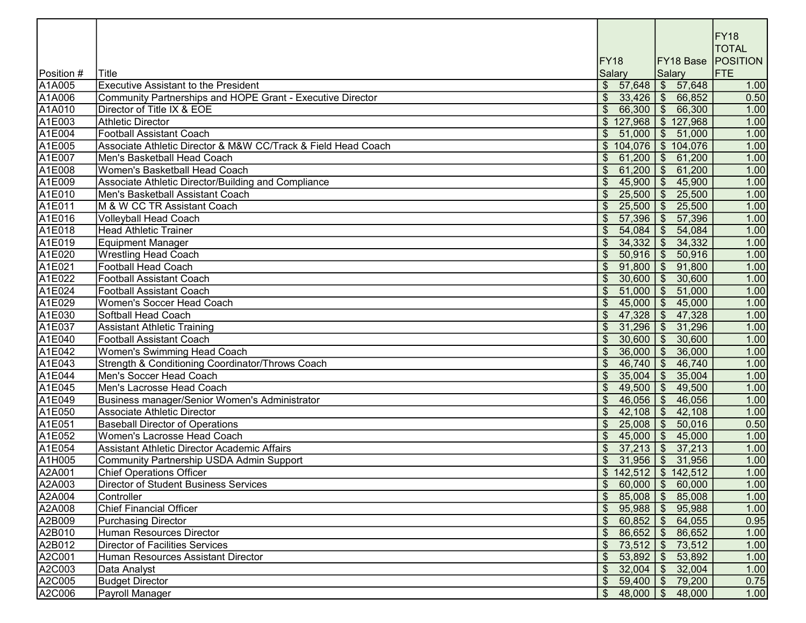|            |                                                               |                                 |                                    | FY18<br><b>TOTAL</b> |
|------------|---------------------------------------------------------------|---------------------------------|------------------------------------|----------------------|
|            |                                                               | <b>FY18</b>                     | FY18 Base                          | <b>POSITION</b>      |
| Position # | Title                                                         | <b>Salary</b>                   | <b>Salary</b>                      | FTE                  |
| A1A005     | <b>Executive Assistant to the President</b>                   | \$57,648                        | \$57,648                           | 1.00                 |
| A1A006     | Community Partnerships and HOPE Grant - Executive Director    | $\mathcal{S}$<br>33,426         | $\frac{1}{6}$ 66,852               | 0.50                 |
| A1A010     | Director of Title IX & EOE                                    | 66,300                          | \$66,300                           | 1.00                 |
| A1E003     | <b>Athletic Director</b>                                      | $\mathfrak{S}$<br>127,968       | \$127,968                          | 1.00                 |
| A1E004     | <b>Football Assistant Coach</b>                               | 51,000<br>\$                    | $\overline{\mathbf{3}}$<br>51,000  | 1.00                 |
| A1E005     | Associate Athletic Director & M&W CC/Track & Field Head Coach | \$104,076                       | \$104,076                          | 1.00                 |
| A1E007     | İMen's Basketball Head Coach                                  | $\mathfrak{S}$<br>61,200        | $\sqrt{3}$<br>61,200               | 1.00                 |
| A1E008     | Women's Basketball Head Coach                                 | $\$\$<br>61,200                 | $\sqrt{3}$<br>61,200               | 1.00                 |
| A1E009     | Associate Athletic Director/Building and Compliance           | 45,900                          | 45,900<br>$\sqrt{2}$               | 1.00                 |
| A1E010     | Men's Basketball Assistant Coach                              | 25,500                          | 25,500<br>$\sqrt[6]{\frac{1}{2}}$  | 1.00                 |
| A1E011     | M & W CC TR Assistant Coach                                   | 25,500<br>$\mathfrak{S}$        | 25,500<br>$\frac{1}{2}$            | 1.00                 |
| A1E016     | <b>Volleyball Head Coach</b>                                  | 57,396<br>$\$\$                 | 57,396<br>$\frac{1}{2}$            | 1.00                 |
| A1E018     | Head Athletic Trainer                                         | 54,084<br>$\$\$                 | \$54,084                           | 1.00                 |
| A1E019     | Equipment Manager                                             | 34,332<br>\$                    | 34,332<br>$\sqrt{2}$               | 1.00                 |
| A1E020     | <b>Wrestling Head Coach</b>                                   | 50,916<br>\$                    | 50,916<br>$\sqrt{3}$               | 1.00                 |
| A1E021     | Football Head Coach                                           | $\mathcal{S}$<br>91,800         | 91,800<br>$\sqrt[6]{\frac{1}{2}}$  | 1.00                 |
| A1E022     | <b>Football Assistant Coach</b>                               | 30,600<br>$\mathfrak{L}$        | \$30,600                           | 1.00                 |
| A1E024     | <b>Football Assistant Coach</b>                               | 51,000<br>$\mathfrak{L}$        | 51,000<br>$\mathcal{S}$            | 1.00                 |
| A1E029     | Women's Soccer Head Coach                                     | $\mathfrak{S}$<br>45,000        | 45,000<br>$\sqrt[6]{\frac{1}{2}}$  | 1.00                 |
| A1E030     | Softball Head Coach                                           | $\mathfrak{S}$<br>47,328        | \$47,328                           | 1.00                 |
| A1E037     | Assistant Athletic Training                                   | $\mathcal{S}$<br>31,296         | 31,296<br>$\sqrt{2}$               | 1.00                 |
| A1E040     | <b>Football Assistant Coach</b>                               | $\mathfrak{S}$<br>30,600        | $\overline{\mathcal{S}}$<br>30,600 | 1.00                 |
| A1E042     | Women's Swimming Head Coach                                   | $\mathcal{S}$<br>36,000         | \$36,000                           | 1.00                 |
| A1E043     | Strength & Conditioning Coordinator/Throws Coach              | $\mathfrak{S}$<br>46,740        | $\sqrt{3}$<br>46,740               | 1.00                 |
| A1E044     | Men's Soccer Head Coach                                       | $\mathcal{S}$<br>35,004         | \$35,004                           | 1.00                 |
| A1E045     | Men's Lacrosse Head Coach                                     | $\mathcal{S}$<br>49,500         | $\frac{1}{2}$ 49,500               | 1.00                 |
| A1E049     | Business manager/Senior Women's Administrator                 | $\mathfrak{S}$                  | $46,056$ \$ 46,056                 | 1.00                 |
| A1E050     | Associate Athletic Director                                   | 42,108<br>$\mathfrak{L}$        | $\sqrt{3}$<br>42,108               | 1.00                 |
| A1E051     | <b>Baseball Director of Operations</b>                        | $\mathfrak{L}$<br>25,008        | $\sqrt{3}$<br>50,016               | 0.50                 |
| A1E052     | Women's Lacrosse Head Coach                                   | $45,000$ \ \$<br>$\mathfrak{L}$ | 45,000                             | 1.00                 |
| A1E054     | Assistant Athletic Director Academic Affairs                  | $\mathfrak{L}$                  | $37,213$ \$ 37,213                 | 1.00                 |
| A1H005     | Community Partnership USDA Admin Support                      | \$                              | $31,956$ \ \$ 31,956               | 1.00                 |
| A2A001     | <b>Chief Operations Officer</b>                               |                                 | $$142,512$ $$142,512$              | 1.00                 |
| A2A003     | Director of Student Business Services                         | $$60,000$ $$60,000$             |                                    | 1.00                 |
| A2A004     | Controller                                                    | 85,008                          | $\frac{1}{9}$ 85,008               | 1.00                 |
| A2A008     | <b>Chief Financial Officer</b>                                | 95,988                          | $\sqrt{$}$ 95,988                  | 1.00                 |
| A2B009     | Purchasing Director                                           | 60,852<br>\$                    | \$64,055                           | 0.95                 |
| A2B010     | Human Resources Director                                      | 86,652<br>\$                    | \$86,652                           | 1.00                 |
| A2B012     | <b>Director of Facilities Services</b>                        | \$                              | 73,512   \$73,512                  | 1.00                 |
| A2C001     | Human Resources Assistant Director                            | 53,892<br>\$                    | $\sqrt{2}$<br>53,892               | 1.00                 |
| A2C003     | Data Analyst                                                  | 32,004<br>\$                    | $\sqrt{3}$<br>32,004               | 1.00                 |
| A2C005     | <b>Budget Director</b>                                        | \$                              | $59,400$ \$ 79,200                 | 0.75                 |
| A2C006     | Payroll Manager                                               | $$48,000$ $$48,000$             |                                    | 1.00                 |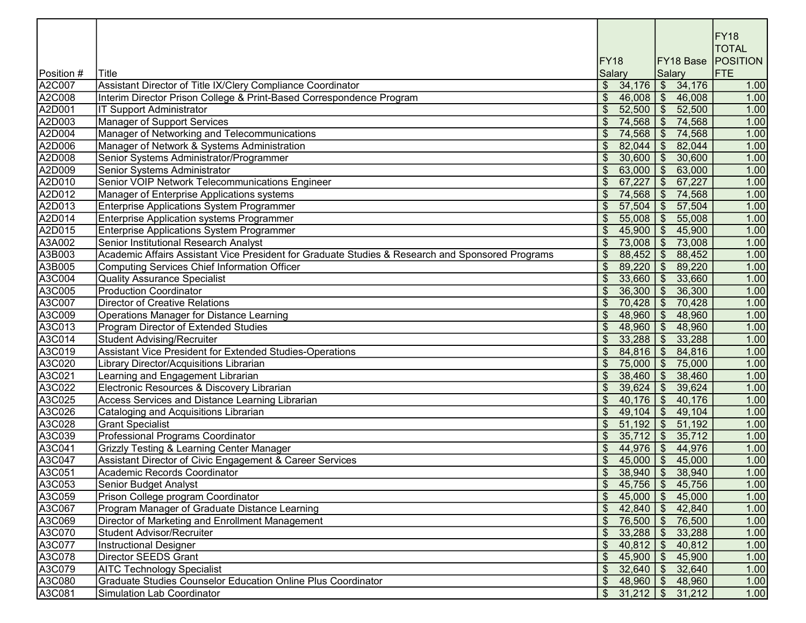|            |                                                                                                  |                            |               |                           |           | <b>FY18</b><br><b>TOTAL</b> |
|------------|--------------------------------------------------------------------------------------------------|----------------------------|---------------|---------------------------|-----------|-----------------------------|
| Position # | Title                                                                                            | FY <sub>18</sub><br>Salary |               | <b>Salary</b>             | FY18 Base | <b>POSITION</b><br>FTE      |
| A2C007     | Assistant Director of Title IX/Clery Compliance Coordinator                                      | $\frac{1}{2}$              | 34,176        |                           | \$34,176  | 1.00                        |
| A2C008     | Interim Director Prison College & Print-Based Correspondence Program                             | $\$\$                      | 46,008        | $\sqrt{3}$                | 46,008    | 1.00                        |
| A2D001     | IT Support Administrator                                                                         |                            | 52,500        | $\sqrt[6]{\frac{1}{2}}$   | 52,500    | 1.00                        |
| A2D003     | Manager of Support Services                                                                      |                            | 74,568        | $\sqrt[6]{\frac{1}{2}}$   | 74,568    | 1.00                        |
| A2D004     | Manager of Networking and Telecommunications                                                     |                            | 74,568        | $\sqrt[6]{\frac{1}{2}}$   | 74,568    | 1.00                        |
| A2D006     | Manager of Network & Systems Administration                                                      |                            | 82,044        | $\mathfrak{S}$            | 82,044    | 1.00                        |
| A2D008     | Senior Systems Administrator/Programmer                                                          |                            | 30,600        | $\mathfrak{S}$            | 30,600    | 1.00                        |
| A2D009     | Senior Systems Administrator                                                                     | $\boldsymbol{\mathsf{S}}$  | 63,000        | $\overline{\mathcal{S}}$  | 63,000    | 1.00                        |
| A2D010     | Senior VOIP Network Telecommunications Engineer                                                  | $\mathfrak{s}$             | 67,227        | $\sqrt[6]{\frac{1}{2}}$   | 67,227    | 1.00                        |
| A2D012     | Manager of Enterprise Applications systems                                                       |                            | 74,568        | $\sqrt[6]{\frac{1}{2}}$   | 74,568    | 1.00                        |
| A2D013     | Enterprise Applications System Programmer                                                        | $\boldsymbol{\mathsf{S}}$  | 57,504        | $\sqrt[6]{3}$             | 57,504    | 1.00                        |
| A2D014     | Enterprise Application systems Programmer                                                        | $\mathcal{S}$              | 55,008        | $\frac{1}{2}$             | 55,008    | 1.00                        |
| A2D015     | Enterprise Applications System Programmer                                                        | \$                         | 45,900        | $\mathfrak{F}$            | 45,900    | 1.00                        |
| A3A002     | Senior Institutional Research Analyst                                                            | $\$\$                      | 73,008        | $\boldsymbol{\mathsf{S}}$ | 73,008    | 1.00                        |
| A3B003     | Academic Affairs Assistant Vice President for Graduate Studies & Research and Sponsored Programs | \$                         | 88,452        | $\frac{1}{2}$             | 88,452    | 1.00                        |
| A3B005     | Computing Services Chief Information Officer                                                     | $\boldsymbol{\mathsf{S}}$  | 89,220        | $\frac{1}{2}$             | 89,220    | 1.00                        |
| A3C004     | <b>Quality Assurance Specialist</b>                                                              | \$                         | 33,660        | $\frac{1}{2}$             | 33,660    | 1.00                        |
| A3C005     | <b>Production Coordinator</b>                                                                    |                            | 36,300        | \$                        | 36,300    | 1.00                        |
| A3C007     | <b>Director of Creative Relations</b>                                                            | \$                         | 70,428        | $\frac{1}{2}$             | 70,428    | 1.00                        |
| A3C009     | Operations Manager for Distance Learning                                                         | \$                         | 48,960        | $\frac{3}{2}$             | 48,960    | 1.00                        |
| A3C013     | Program Director of Extended Studies                                                             | $\$\$                      | 48,960        | $\frac{1}{2}$             | 48,960    | 1.00                        |
| A3C014     | <b>Student Advising/Recruiter</b>                                                                | \$                         | 33,288        | $\frac{3}{2}$             | 33,288    | 1.00                        |
| A3C019     | Assistant Vice President for Extended Studies-Operations                                         | $\$\$                      | 84,816        | $\sqrt[6]{\frac{1}{2}}$   | 84,816    | 1.00                        |
| A3C020     | Library Director/Acquisitions Librarian                                                          | $\mathcal{S}$              | 75,000        | $\sqrt[6]{\frac{1}{2}}$   | 75,000    | 1.00                        |
| A3C021     | Learning and Engagement Librarian                                                                | \$                         | 38,460        | $\sqrt[6]{2}$             | 38,460    | 1.00                        |
| A3C022     | Electronic Resources & Discovery Librarian                                                       | \$                         | 39,624        | $\sqrt[6]{\frac{1}{2}}$   | 39,624    | 1.00                        |
| A3C025     | Access Services and Distance Learning Librarian                                                  | $\mathcal{S}$              | 40,176        | $\mathfrak{S}$            | 40,176    | 1.00                        |
| A3C026     | Cataloging and Acquisitions Librarian                                                            | $\mathcal{S}$              | 49,104        | $\sqrt[6]{\frac{1}{2}}$   | 49,104    | 1.00                        |
| A3C028     | <b>Grant Specialist</b>                                                                          | $\mathcal{S}$              | 51,192        | $\sqrt[6]{\frac{1}{2}}$   | 51,192    | 1.00                        |
| A3C039     | Professional Programs Coordinator                                                                | $\mathcal{S}$              | 35,712        | $\sqrt[6]{\frac{1}{2}}$   | 35,712    | 1.00                        |
| A3C041     | <b>Grizzly Testing &amp; Learning Center Manager</b>                                             | $\mathcal{L}$              | $44,976$ \$   |                           | 44,976    | 1.00                        |
| A3C047     | Assistant Director of Civic Engagement & Career Services                                         | $\$\$                      | $45,000$   \$ |                           | 45,000    | 1.00                        |
| A3C051     | Academic Records Coordinator                                                                     | $\overline{\mathcal{S}}$   | $38,940$ \$   |                           | 38,940    | 1.00                        |
| A3C053     | Senior Budget Analyst                                                                            |                            | $45,756$ \$   |                           | 45,756    | 1.00                        |
| A3C059     | Prison College program Coordinator                                                               | $\mathfrak{L}$             | 45,000        | $\mathcal{S}$             | 45,000    | 1.00                        |
| A3C067     | Program Manager of Graduate Distance Learning                                                    |                            | 42,840        | $\mathfrak{S}$            | 42,840    | 1.00                        |
| A3C069     | Director of Marketing and Enrollment Management                                                  | \$                         | 76,500        | $\sqrt[6]{\frac{1}{2}}$   | 76,500    | 1.00                        |
| A3C070     | <b>Student Advisor/Recruiter</b>                                                                 | \$                         | 33,288        | $\sqrt[6]{2}$             | 33,288    | 1.00                        |
| A3C077     | <b>Instructional Designer</b>                                                                    | \$                         | 40,812        | $\sqrt[6]{\frac{1}{2}}$   | 40,812    | 1.00                        |
| A3C078     | <b>Director SEEDS Grant</b>                                                                      | \$                         | 45,900        | $\mathfrak{S}$            | 45,900    | 1.00                        |
| A3C079     | <b>AITC Technology Specialist</b>                                                                |                            | 32,640        | \$                        | 32,640    | 1.00                        |
| A3C080     | Graduate Studies Counselor Education Online Plus Coordinator                                     | \$                         | 48,960        | $\mathfrak{F}$            | 48,960    | 1.00                        |
| A3C081     | Simulation Lab Coordinator                                                                       |                            |               |                           | 31,212    | 1.00                        |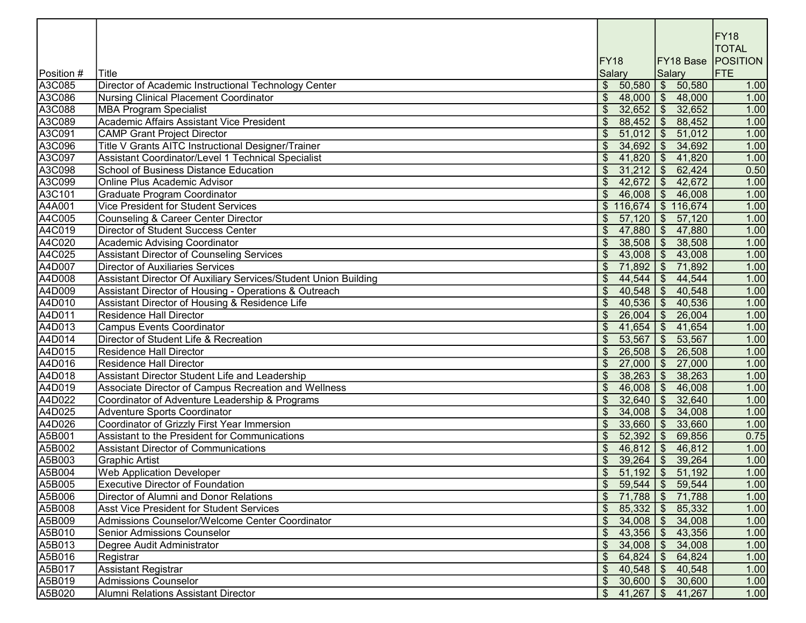|            |                                                                 |                          |                                  |                         |                      | <b>FY18</b><br><b>TOTAL</b> |
|------------|-----------------------------------------------------------------|--------------------------|----------------------------------|-------------------------|----------------------|-----------------------------|
|            |                                                                 | FY <sub>18</sub>         |                                  |                         |                      | <b>FY18 Base POSITION</b>   |
| Position # | Title                                                           | Salary                   |                                  | <b>Salary</b>           |                      | FTE                         |
| A3C085     | Director of Academic Instructional Technology Center            |                          | \$50,580                         |                         | \$50,580             | 1.00                        |
| A3C086     | Nursing Clinical Placement Coordinator                          |                          | 48,000                           |                         | \$48,000             | 1.00                        |
| A3C088     | <b>MBA Program Specialist</b>                                   |                          | 32,652                           | $\sqrt[6]{2}$           | 32,652               | 1.00                        |
| A3C089     | Academic Affairs Assistant Vice President                       |                          | 88,452                           | $\sqrt[6]{2}$           | 88,452               | 1.00                        |
| A3C091     | <b>CAMP Grant Project Director</b>                              |                          | 51,012                           | $\sqrt{3}$              | 51,012               | 1.00                        |
| A3C096     | Title V Grants AITC Instructional Designer/Trainer              |                          | 34,692                           | $\sqrt{2}$              | 34,692               | 1.00                        |
| A3C097     | Assistant Coordinator/Level 1 Technical Specialist              |                          | 41,820                           | $\sqrt{2}$              | 41,820               | 1.00                        |
| A3C098     | School of Business Distance Education                           | $\overline{\mathcal{S}}$ | 31,212                           | $\sqrt[6]{2}$           | 62,424               | 0.50                        |
| A3C099     | <b>Online Plus Academic Advisor</b>                             | $\mathfrak{S}$           | 42,672                           | $\mathfrak{S}$          | 42,672               | 1.00                        |
| A3C101     | Graduate Program Coordinator                                    | $\mathfrak{S}$           | 46,008                           | $\frac{1}{2}$           | 46,008               | 1.00                        |
| A4A001     | <b>Vice President for Student Services</b>                      |                          | \$116,674                        |                         | \$116,674            | 1.00                        |
| A4C005     | Counseling & Career Center Director                             | \$                       | 57,120                           | $\frac{1}{2}$           | 57,120               | 1.00                        |
| A4C019     | Director of Student Success Center                              |                          | 47,880                           | $\frac{1}{2}$           | 47,880               | 1.00                        |
| A4C020     | Academic Advising Coordinator                                   | \$                       | 38,508                           | $\frac{1}{2}$           | 38,508               | 1.00                        |
| A4C025     | <b>Assistant Director of Counseling Services</b>                |                          | 43,008                           | $\frac{1}{2}$           | 43,008               | 1.00                        |
| A4D007     | <b>Director of Auxiliaries Services</b>                         | $\mathfrak{S}$           | 71,892                           | $\frac{1}{2}$           | 71,892               | 1.00                        |
| A4D008     | Assistant Director Of Auxiliary Services/Student Union Building | $\mathfrak{S}$           | 44,544                           | $\frac{1}{2}$           | 44,544               | 1.00                        |
| A4D009     | Assistant Director of Housing - Operations & Outreach           | $\mathfrak{S}$           | 40,548                           | $\frac{1}{2}$           | 40,548               | 1.00                        |
| A4D010     | Assistant Director of Housing & Residence Life                  | $\mathfrak{S}$           | 40,536                           | $\frac{1}{2}$           | 40,536               | 1.00                        |
| A4D011     | <b>Residence Hall Director</b>                                  | $\mathfrak{S}$           | 26,004                           | $\frac{1}{2}$           | 26,004               | 1.00                        |
| A4D013     | <b>Campus Events Coordinator</b>                                | \$                       | 41,654                           | $\sqrt[6]{\frac{1}{2}}$ | 41,654               | 1.00                        |
| A4D014     | Director of Student Life & Recreation                           | \$                       | 53,567                           | $\frac{1}{2}$           | 53,567               | 1.00                        |
| A4D015     | Residence Hall Director                                         | \$                       | 26,508                           | $\frac{1}{2}$           | 26,508               | 1.00                        |
| A4D016     | Residence Hall Director                                         | $\mathfrak{S}$           | 27,000                           | $\mathcal{L}$           | 27,000               | 1.00                        |
| A4D018     | Assistant Director Student Life and Leadership                  | $\mathfrak{S}$           | 38,263                           | $\sqrt[6]{\frac{1}{2}}$ | 38,263               | 1.00                        |
| A4D019     | Associate Director of Campus Recreation and Wellness            | $\mathfrak{S}$           | 46,008                           | $\sqrt[6]{2}$           | 46,008               | 1.00                        |
| A4D022     | Coordinator of Adventure Leadership & Programs                  | $\mathfrak{S}$           | 32,640                           | $\mathfrak{S}$          | 32,640               | 1.00                        |
| A4D025     | Adventure Sports Coordinator                                    | $\mathfrak{S}$           | 34,008                           | $\mathfrak{S}$          | 34,008               | 1.00                        |
| A4D026     | Coordinator of Grizzly First Year Immersion                     | $\mathfrak{S}$           | 33,660                           | $\mathfrak{S}$          | 33,660               | 1.00                        |
| A5B001     | Assistant to the President for Communications                   | $\mathfrak{S}$           | 52,392                           | $\sqrt{3}$              | 69,856               | 0.75                        |
| A5B002     | Assistant Director of Communications                            | $\mathfrak{S}$           | $46,812$ \$                      |                         | 46,812               | 1.00                        |
| A5B003     | <b>Graphic Artist</b>                                           | $\mathfrak{S}$           | $39,264$ \ \$ 39,264             |                         |                      | 1.00                        |
| A5B004     | <b>Web Application Developer</b>                                | $\mathfrak{L}$           | $51,192$ \$                      |                         | 51,192               | 1.00                        |
| A5B005     | <b>Executive Director of Foundation</b>                         |                          | \$59,544                         |                         | $\frac{1}{5}$ 59,544 | 1.00                        |
| A5B006     | Director of Alumni and Donor Relations                          |                          | $$71,788$ $$71,788$              |                         |                      | 1.00                        |
| A5B008     | <b>Asst Vice President for Student Services</b>                 |                          | $\frac{1}{2}$ 85,332 \ \$ 85,332 |                         |                      | 1.00                        |
| A5B009     | Admissions Counselor/Welcome Center Coordinator                 |                          | 34,008                           |                         | \$34,008             | 1.00                        |
| A5B010     | Senior Admissions Counselor                                     |                          | 43,356                           |                         | \$43,356             | 1.00                        |
| A5B013     | Degree Audit Administrator                                      |                          | 34,008                           |                         | \$34,008             | 1.00                        |
| A5B016     | Registrar                                                       |                          | 64,824                           | $\mathfrak{F}$          | 64,824               | 1.00                        |
| A5B017     | Assistant Registrar                                             | \$                       | 40,548                           | $\mathfrak{S}$          | 40,548               | 1.00                        |
| A5B019     | Admissions Counselor                                            |                          | $$30,600$ $$30,600$              |                         |                      | 1.00                        |
| A5B020     | <b>Alumni Relations Assistant Director</b>                      |                          | $$41,267$ $$41,267$              |                         |                      | 1.00                        |